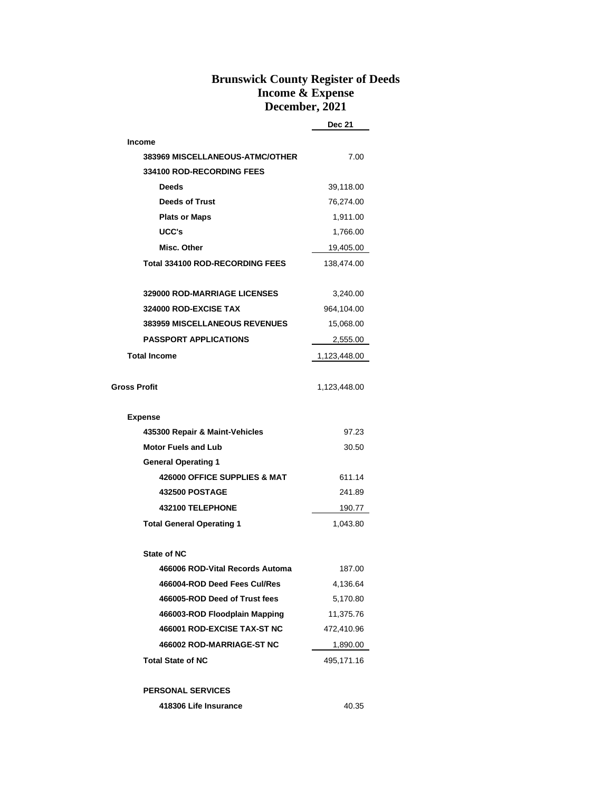## **Brunswick County Register of Deeds Income & Expense December, 2021**

**Dec 21**

| <b>Income</b>                          |              |
|----------------------------------------|--------------|
| 383969 MISCELLANEOUS-ATMC/OTHER        | 7.00         |
| 334100 ROD-RECORDING FEES              |              |
| <b>Deeds</b>                           | 39,118.00    |
| <b>Deeds of Trust</b>                  | 76,274.00    |
| <b>Plats or Maps</b>                   | 1,911.00     |
| UCC's                                  | 1,766.00     |
| Misc. Other                            | 19,405.00    |
| <b>Total 334100 ROD-RECORDING FEES</b> | 138,474.00   |
| <b>329000 ROD-MARRIAGE LICENSES</b>    | 3,240.00     |
| 324000 ROD-EXCISE TAX                  | 964,104.00   |
| <b>383959 MISCELLANEOUS REVENUES</b>   | 15,068.00    |
| <b>PASSPORT APPLICATIONS</b>           | 2,555.00     |
| <b>Total Income</b>                    | 1,123,448.00 |
|                                        |              |
| Gross Profit                           | 1,123,448.00 |
| <b>Expense</b>                         |              |
| 435300 Repair & Maint-Vehicles         | 97.23        |
| <b>Motor Fuels and Lub</b>             | 30.50        |
| <b>General Operating 1</b>             |              |
| 426000 OFFICE SUPPLIES & MAT           | 611.14       |
| <b>432500 POSTAGE</b>                  | 241.89       |
| 432100 TELEPHONE                       | 190.77       |
| <b>Total General Operating 1</b>       | 1,043.80     |
| <b>State of NC</b>                     |              |
| 466006 ROD-Vital Records Automa        | 187.00       |
| 466004-ROD Deed Fees Cul/Res           | 4,136.64     |
| 466005-ROD Deed of Trust fees          | 5,170.80     |
| 466003-ROD Floodplain Mapping          | 11,375.76    |
| 466001 ROD-EXCISE TAX-ST NC            | 472,410.96   |
| 466002 ROD-MARRIAGE-ST NC              | 1,890.00     |
| <b>Total State of NC</b>               | 495,171.16   |
| <b>PERSONAL SERVICES</b>               |              |

**418306 Life Insurance** 40.35